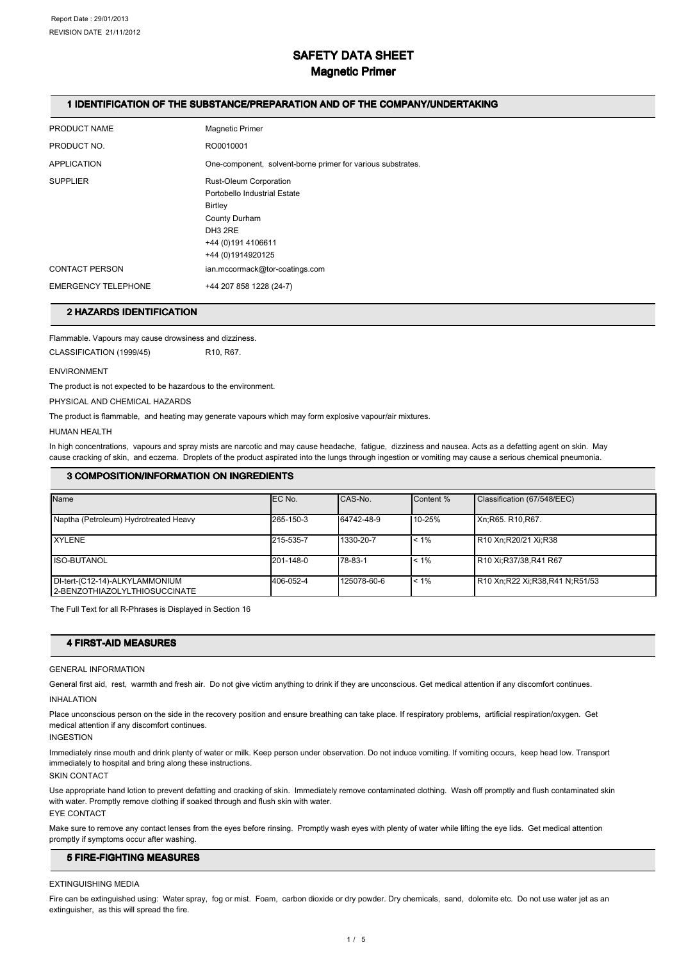# SAFETY DATA SHEET

# Magnetic Primer

# 1 IDENTIFICATION OF THE SUBSTANCE/PREPARATION AND OF THE COMPANY/UNDERTAKING

| PRODUCT NAME               | <b>Magnetic Primer</b>                                                                                                                    |
|----------------------------|-------------------------------------------------------------------------------------------------------------------------------------------|
| PRODUCT NO.                | RO0010001                                                                                                                                 |
| <b>APPLICATION</b>         | One-component, solvent-borne primer for various substrates.                                                                               |
| <b>SUPPLIER</b>            | Rust-Oleum Corporation<br>Portobello Industrial Estate<br>Birtley<br>County Durham<br>DH3 2RE<br>+44 (0) 191 4106611<br>+44 (0)1914920125 |
| <b>CONTACT PERSON</b>      | ian.mccormack@tor-coatings.com                                                                                                            |
| <b>EMERGENCY TELEPHONE</b> | +44 207 858 1228 (24-7)                                                                                                                   |

# 2 HAZARDS IDENTIFICATION 2 HAZARDS IDENTIFICATION

Flammable. Vapours may cause drowsiness and dizziness. CLASSIFICATION (1999/45) R10, R67.

#### ENVIRONMENT

The product is not expected to be hazardous to the environment.

PHYSICAL AND CHEMICAL HAZARDS

The product is flammable, and heating may generate vapours which may form explosive vapour/air mixtures.

#### HUMAN HEALTH

In high concentrations, vapours and spray mists are narcotic and may cause headache, fatigue, dizziness and nausea. Acts as a defatting agent on skin. May cause cracking of skin, and eczema. Droplets of the product aspirated into the lungs through ingestion or vomiting may cause a serious chemical pneumonia.

# 3 COMPOSITION/INFORMATION ON INGREDIENTS

| Name                                                            | EC No.    | CAS-No.     | Content % | Classification (67/548/EEC)    |
|-----------------------------------------------------------------|-----------|-------------|-----------|--------------------------------|
| Naptha (Petroleum) Hydrotreated Heavy                           | 265-150-3 | 64742-48-9  | 10-25%    | Xn; R65, R10, R67.             |
| <b>XYLENE</b>                                                   | 215-535-7 | 1330-20-7   | $< 1\%$   | R10 Xn;R20/21 Xi;R38           |
| ISO-BUTANOL                                                     | 201-148-0 | 78-83-1     | $< 1\%$   | R10 Xi:R37/38,R41 R67          |
| DI-tert-(C12-14)-ALKYLAMMONIUM<br>2-BENZOTHIAZOLYLTHIOSUCCINATE | 406-052-4 | 125078-60-6 | $< 1\%$   | R10 Xn;R22 Xi;R38,R41 N;R51/53 |

The Full Text for all R-Phrases is Displayed in Section 16

# **4 FIRST-AID MEASURES**

### GENERAL INFORMATION

General first aid, rest, warmth and fresh air. Do not give victim anything to drink if they are unconscious. Get medical attention if any discomfort continues. INHALATION

Place unconscious person on the side in the recovery position and ensure breathing can take place. If respiratory problems, artificial respiration/oxygen. Get medical attention if any discomfort continues.

### INGESTION

Immediately rinse mouth and drink plenty of water or milk. Keep person under observation. Do not induce vomiting. If vomiting occurs, keep head low. Transport immediately to hospital and bring along these instructions.

SKIN CONTACT

Use appropriate hand lotion to prevent defatting and cracking of skin. Immediately remove contaminated clothing. Wash off promptly and flush contaminated skin with water. Promptly remove clothing if soaked through and flush skin with water. EYE CONTACT

Make sure to remove any contact lenses from the eyes before rinsing. Promptly wash eyes with plenty of water while lifting the eye lids. Get medical attention promptly if symptoms occur after washing.

# **5 FIRE-FIGHTING MEASURES**

#### EXTINGUISHING MEDIA

Fire can be extinguished using: Water spray, fog or mist. Foam, carbon dioxide or dry powder. Dry chemicals, sand, dolomite etc. Do not use water jet as an extinguisher, as this will spread the fire.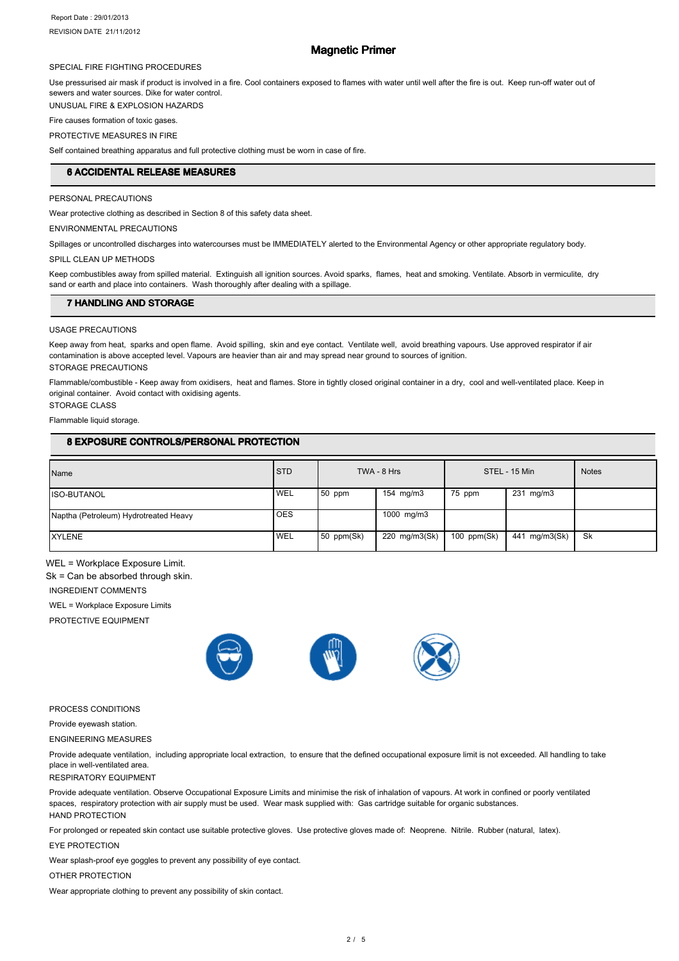# Magnetic Primer

#### SPECIAL FIRE FIGHTING PROCEDURES

Use pressurised air mask if product is involved in a fire. Cool containers exposed to flames with water until well after the fire is out. Keep run-off water out of sewers and water sources. Dike for water control.

UNUSUAL FIRE & EXPLOSION HAZARDS

Fire causes formation of toxic gases.

# PROTECTIVE MEASURES IN FIRE

Self contained breathing apparatus and full protective clothing must be worn in case of fire.

# **6 ACCIDENTAL RELEASE MEASURES**

# PERSONAL PRECAUTIONS

Wear protective clothing as described in Section 8 of this safety data sheet.

ENVIRONMENTAL PRECAUTIONS

Spillages or uncontrolled discharges into watercourses must be IMMEDIATELY alerted to the Environmental Agency or other appropriate regulatory body.

SPILL CLEAN UP METHODS

Keep combustibles away from spilled material. Extinguish all ignition sources. Avoid sparks, flames, heat and smoking. Ventilate. Absorb in vermiculite, dry sand or earth and place into containers. Wash thoroughly after dealing with a spillage.

### **7 HANDLING AND STORAGE**

### USAGE PRECAUTIONS

Keep away from heat, sparks and open flame. Avoid spilling, skin and eye contact. Ventilate well, avoid breathing vapours. Use approved respirator if air contamination is above accepted level. Vapours are heavier than air and may spread near ground to sources of ignition. STORAGE PRECAUTIONS

Flammable/combustible - Keep away from oxidisers, heat and flames. Store in tightly closed original container in a dry, cool and well-ventilated place. Keep in original container. Avoid contact with oxidising agents. STORAGE CLASS

Flammable liquid storage.

# 8 EXPOSURE CONTROLS/PERSONAL PROTECTION

| Name                                  | <b>STD</b> |            | TWA - 8 Hrs        |               | STEL - 15 Min | <b>Notes</b> |
|---------------------------------------|------------|------------|--------------------|---------------|---------------|--------------|
| <b>ISO-BUTANOL</b>                    | <b>WEL</b> | $150$ ppm  | $154 \text{ mg/m}$ | 75 ppm        | 231 mg/m3     |              |
| Naptha (Petroleum) Hydrotreated Heavy | <b>OES</b> |            | 1000 mg/m3         |               |               |              |
| <b>XYLENE</b>                         | <b>WEL</b> | 50 ppm(Sk) | 220 mg/m3(Sk)      | 100 $ppm(Sk)$ | 441 mg/m3(Sk) | Sk           |

WEL = Workplace Exposure Limit.

Sk = Can be absorbed through skin.

INGREDIENT COMMENTS

WEL = Workplace Exposure Limits

PROTECTIVE EQUIPMENT



#### PROCESS CONDITIONS

Provide eyewash station.

ENGINEERING MEASURES

Provide adequate ventilation, including appropriate local extraction, to ensure that the defined occupational exposure limit is not exceeded. All handling to take place in well-ventilated area.

#### RESPIRATORY EQUIPMENT

Provide adequate ventilation. Observe Occupational Exposure Limits and minimise the risk of inhalation of vapours. At work in confined or poorly ventilated spaces, respiratory protection with air supply must be used. Wear mask supplied with: Gas cartridge suitable for organic substances. HAND PROTECTION

For prolonged or repeated skin contact use suitable protective gloves. Use protective gloves made of: Neoprene. Nitrile. Rubber (natural, latex).

#### EYE PROTECTION

Wear splash-proof eye goggles to prevent any possibility of eye contact.

# OTHER PROTECTION

Wear appropriate clothing to prevent any possibility of skin contact.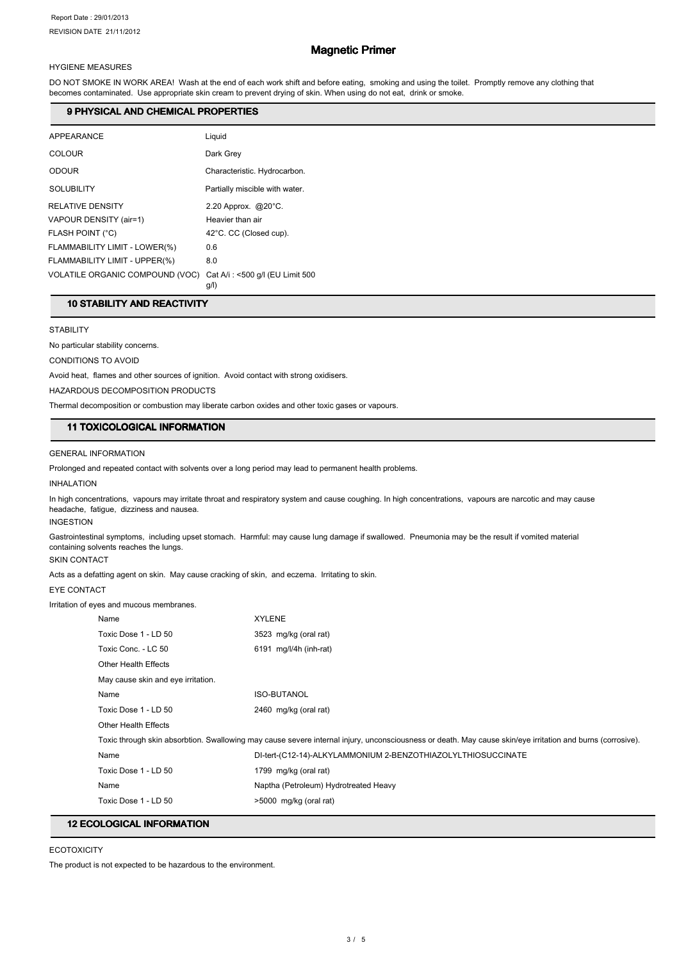# Magnetic Primer

# HYGIENE MEASURES

DO NOT SMOKE IN WORK AREA! Wash at the end of each work shift and before eating, smoking and using the toilet. Promptly remove any clothing that becomes contaminated. Use appropriate skin cream to prevent drying of skin. When using do not eat, drink or smoke.

#### 9 PHYSICAL AND CHEMICAL PROPERTIES

| APPEARANCE                      | Liquid                                  |
|---------------------------------|-----------------------------------------|
| COLOUR                          | Dark Grey                               |
| <b>ODOUR</b>                    | Characteristic. Hydrocarbon.            |
| <b>SOLUBILITY</b>               | Partially miscible with water.          |
| <b>RELATIVE DENSITY</b>         | 2.20 Approx. $@20^{\circ}$ C.           |
| VAPOUR DENSITY (air=1)          | Heavier than air                        |
| FLASH POINT (°C)                | 42°C. CC (Closed cup).                  |
| FLAMMABILITY LIMIT - LOWER(%)   | 0.6                                     |
| FLAMMABILITY LIMIT - UPPER(%)   | 8.0                                     |
| VOLATILE ORGANIC COMPOUND (VOC) | Cat A/i: <500 g/l (EU Limit 500<br>g/l) |

# 10 STABILITY AND REACTIVITY

### **STABILITY**

No particular stability concerns.

CONDITIONS TO AVOID

Avoid heat, flames and other sources of ignition. Avoid contact with strong oxidisers.

HAZARDOUS DECOMPOSITION PRODUCTS

Thermal decomposition or combustion may liberate carbon oxides and other toxic gases or vapours.

# 11 TOXICOLOGICAL INFORMATION 11 TOXICOLOGICAL INFORMATION

### GENERAL INFORMATION

Prolonged and repeated contact with solvents over a long period may lead to permanent health problems.

#### INHALATION

In high concentrations, vapours may irritate throat and respiratory system and cause coughing. In high concentrations, vapours are narcotic and may cause headache, fatigue, dizziness and nausea.

# INGESTION

Gastrointestinal symptoms, including upset stomach. Harmful: may cause lung damage if swallowed. Pneumonia may be the result if vomited material containing solvents reaches the lungs.

# SKIN CONTACT Acts as a defatting agent on skin. May cause cracking of skin, and eczema. Irritating to skin.

# EYE CONTACT

Irritation of eyes and mucous membranes.

| Name                               | <b>XYLENE</b>                                                                                                                                              |
|------------------------------------|------------------------------------------------------------------------------------------------------------------------------------------------------------|
| Toxic Dose 1 - LD 50               | 3523 mg/kg (oral rat)                                                                                                                                      |
| Toxic Conc. - LC 50                | $6191$ mg/l/4h (inh-rat)                                                                                                                                   |
| Other Health Effects               |                                                                                                                                                            |
| May cause skin and eye irritation. |                                                                                                                                                            |
| Name                               | <b>ISO-BUTANOL</b>                                                                                                                                         |
| Toxic Dose 1 - LD 50               | 2460 mg/kg (oral rat)                                                                                                                                      |
| <b>Other Health Effects</b>        |                                                                                                                                                            |
|                                    | Toxic through skin absorbtion. Swallowing may cause severe internal injury, unconsciousness or death. May cause skin/eye irritation and burns (corrosive). |
| Name                               | DI-tert-(C12-14)-ALKYLAMMONIUM 2-BENZOTHIAZOLYLTHIOSUCCINATE                                                                                               |
| Toxic Dose 1 - LD 50               | 1799 mg/kg (oral rat)                                                                                                                                      |
| Name                               | Naptha (Petroleum) Hydrotreated Heavy                                                                                                                      |
| Toxic Dose 1 - LD 50               | >5000 mg/kg (oral rat)                                                                                                                                     |

# **12 ECOLOGICAL INFORMATION**

### **ECOTOXICITY**

The product is not expected to be hazardous to the environment.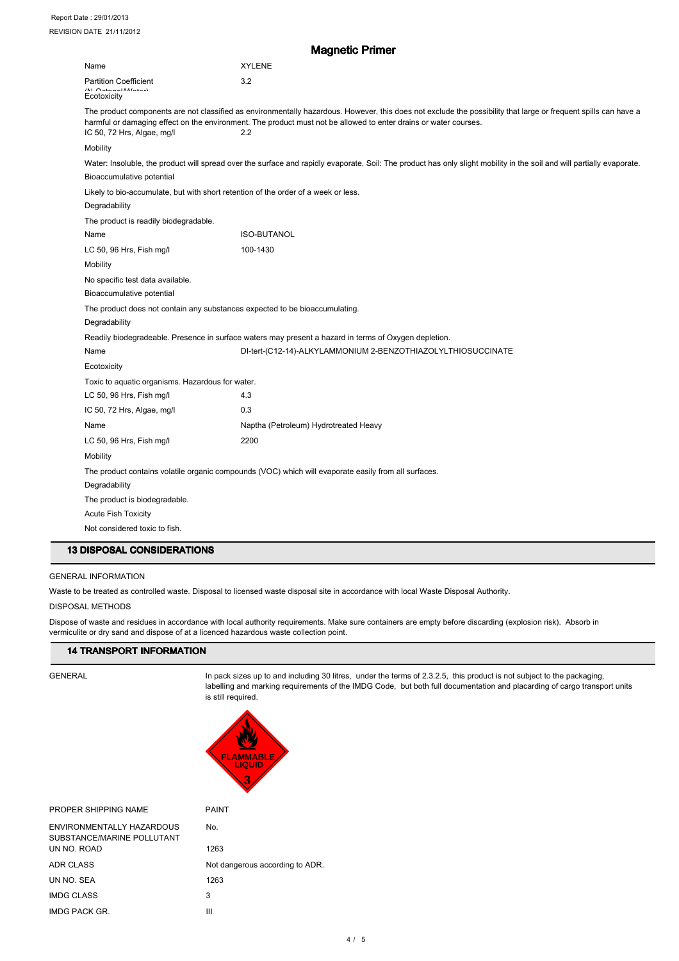|                                                               | <b>Magnetic Primer</b>                                                                                                                                                                                                                                                                     |
|---------------------------------------------------------------|--------------------------------------------------------------------------------------------------------------------------------------------------------------------------------------------------------------------------------------------------------------------------------------------|
| Name                                                          | <b>XYLENE</b>                                                                                                                                                                                                                                                                              |
| <b>Partition Coefficient</b>                                  | 3.2                                                                                                                                                                                                                                                                                        |
| $(11)$ $O_{11}$ $1.11$ $1.11$<br>Ecotoxicity                  |                                                                                                                                                                                                                                                                                            |
| IC 50, 72 Hrs, Algae, mg/l                                    | The product components are not classified as environmentally hazardous. However, this does not exclude the possibility that large or frequent spills can have a<br>harmful or damaging effect on the environment. The product must not be allowed to enter drains or water courses.<br>2.2 |
| Mobility                                                      |                                                                                                                                                                                                                                                                                            |
| Bioaccumulative potential                                     | Water: Insoluble, the product will spread over the surface and rapidly evaporate. Soil: The product has only slight mobility in the soil and will partially evaporate.                                                                                                                     |
| Degradability                                                 | Likely to bio-accumulate, but with short retention of the order of a week or less.                                                                                                                                                                                                         |
| The product is readily biodegradable.                         |                                                                                                                                                                                                                                                                                            |
| Name                                                          | <b>ISO-BUTANOL</b>                                                                                                                                                                                                                                                                         |
| LC 50, 96 Hrs, Fish mg/l                                      | 100-1430                                                                                                                                                                                                                                                                                   |
| Mobility                                                      |                                                                                                                                                                                                                                                                                            |
| No specific test data available.<br>Bioaccumulative potential |                                                                                                                                                                                                                                                                                            |
| Degradability                                                 | The product does not contain any substances expected to be bioaccumulating.                                                                                                                                                                                                                |
|                                                               | Readily biodegradeable. Presence in surface waters may present a hazard in terms of Oxygen depletion.                                                                                                                                                                                      |
| Name                                                          | DI-tert-(C12-14)-ALKYLAMMONIUM 2-BENZOTHIAZOLYLTHIOSUCCINATE                                                                                                                                                                                                                               |
| Ecotoxicity                                                   |                                                                                                                                                                                                                                                                                            |
| Toxic to aquatic organisms. Hazardous for water.              |                                                                                                                                                                                                                                                                                            |
| LC 50, 96 Hrs, Fish mg/l                                      | 4.3                                                                                                                                                                                                                                                                                        |
| IC 50, 72 Hrs, Algae, mg/l                                    | 0.3                                                                                                                                                                                                                                                                                        |
| Name                                                          | Naptha (Petroleum) Hydrotreated Heavy                                                                                                                                                                                                                                                      |
| LC 50, 96 Hrs, Fish mg/l                                      | 2200                                                                                                                                                                                                                                                                                       |
| Mobility                                                      |                                                                                                                                                                                                                                                                                            |
| Degradability                                                 | The product contains volatile organic compounds (VOC) which will evaporate easily from all surfaces.                                                                                                                                                                                       |
| The product is biodegradable.                                 |                                                                                                                                                                                                                                                                                            |
| <b>Acute Fish Toxicity</b>                                    |                                                                                                                                                                                                                                                                                            |
| Not considered toxic to fish.                                 |                                                                                                                                                                                                                                                                                            |

### GENERAL INFORMATION

Waste to be treated as controlled waste. Disposal to licensed waste disposal site in accordance with local Waste Disposal Authority.

### DISPOSAL METHODS

Dispose of waste and residues in accordance with local authority requirements. Make sure containers are empty before discarding (explosion risk). Absorb in vermiculite or dry sand and dispose of at a licenced hazardous waste collection point.

# **14 TRANSPORT INFORMATION**

GENERAL **In pack sizes up to and including 30 litres**, under the terms of 2.3.2.5, this product is not subject to the packaging, labelling and marking requirements of the IMDG Code, but both full documentation and placarding of cargo transport units is still required.



| PROPER SHIPPING NAME                                           | <b>PAINT</b>                    |
|----------------------------------------------------------------|---------------------------------|
| <b>FNVIRONMENTALLY HAZARDOUS</b><br>SUBSTANCE/MARINE POLLUTANT | No.                             |
| UN NO. ROAD                                                    | 1263                            |
| ADR CLASS                                                      | Not dangerous according to ADR. |
| UN NO. SEA                                                     | 1263                            |
| <b>IMDG CLASS</b>                                              | 3                               |
| IMDG PACK GR.                                                  | Ш                               |